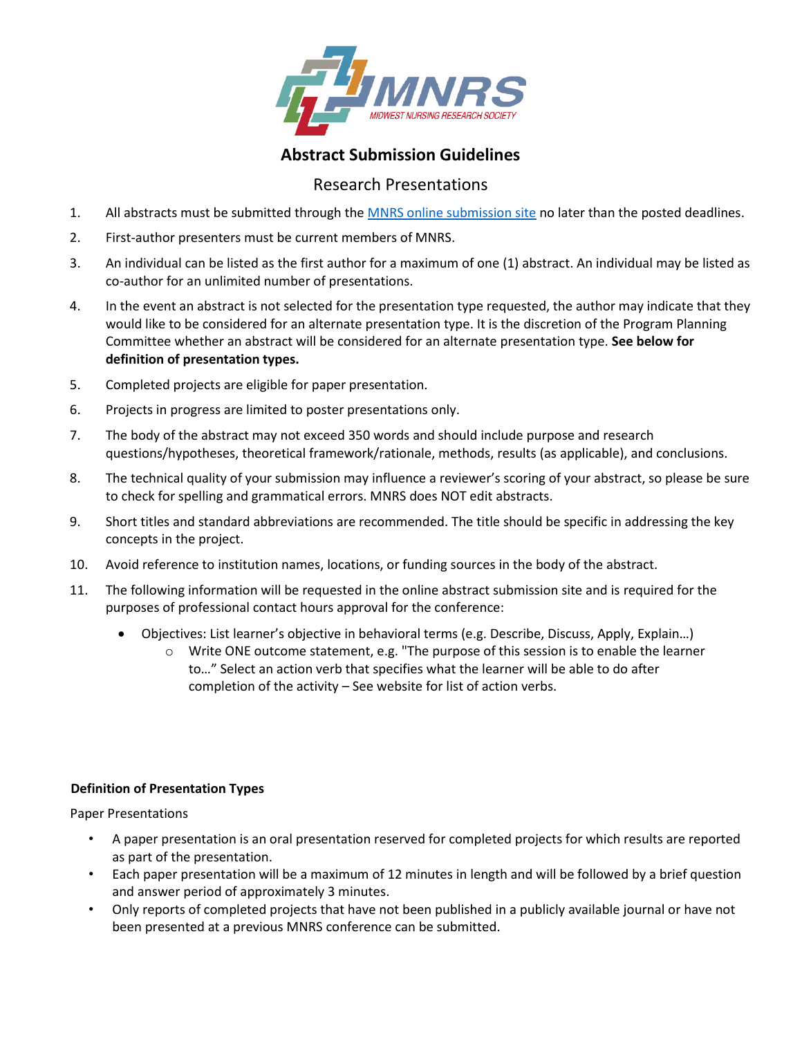

# **Abstract Submission Guidelines**

# Research Presentations

- 1. All abstracts must be submitted through th[e MNRS online submission site](https://mnrs.societyconference.com/?conf_id=10002&m=user&h=home) no later than the posted deadlines.
- 2. First-author presenters must be current members of MNRS.
- 3. An individual can be listed as the first author for a maximum of one (1) abstract. An individual may be listed as co-author for an unlimited number of presentations.
- 4. In the event an abstract is not selected for the presentation type requested, the author may indicate that they would like to be considered for an alternate presentation type. It is the discretion of the Program Planning Committee whether an abstract will be considered for an alternate presentation type. **See below for definition of presentation types.**
- 5. Completed projects are eligible for paper presentation.
- 6. Projects in progress are limited to poster presentations only.
- 7. The body of the abstract may not exceed 350 words and should include purpose and research questions/hypotheses, theoretical framework/rationale, methods, results (as applicable), and conclusions.
- 8. The technical quality of your submission may influence a reviewer's scoring of your abstract, so please be sure to check for spelling and grammatical errors. MNRS does NOT edit abstracts.
- 9. Short titles and standard abbreviations are recommended. The title should be specific in addressing the key concepts in the project.
- 10. Avoid reference to institution names, locations, or funding sources in the body of the abstract.
- 11. The following information will be requested in the online abstract submission site and is required for the purposes of professional contact hours approval for the conference:
	- Objectives: List learner's objective in behavioral terms (e.g. Describe, Discuss, Apply, Explain…)
		- $\circ$  Write ONE outcome statement, e.g. "The purpose of this session is to enable the learner to…" Select an action verb that specifies what the learner will be able to do after completion of the activity – See website for list of action verbs.

# **Definition of Presentation Types**

Paper Presentations

- A paper presentation is an oral presentation reserved for completed projects for which results are reported as part of the presentation.
- Each paper presentation will be a maximum of 12 minutes in length and will be followed by a brief question and answer period of approximately 3 minutes.
- Only reports of completed projects that have not been published in a publicly available journal or have not been presented at a previous MNRS conference can be submitted.